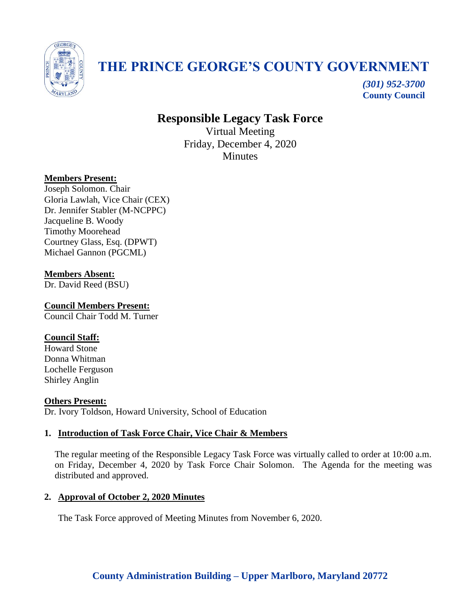

# **THE PRINCE GEORGE'S COUNTY GOVERNMENT**

*(301) 952-3700* **County Council**

# **Responsible Legacy Task Force**

Virtual Meeting Friday, December 4, 2020 **Minutes** 

#### **Members Present:**

Joseph Solomon. Chair Gloria Lawlah, Vice Chair (CEX) Dr. Jennifer Stabler (M-NCPPC) Jacqueline B. Woody Timothy Moorehead Courtney Glass, Esq. (DPWT) Michael Gannon (PGCML)

#### **Members Absent:**

Dr. David Reed (BSU)

**Council Members Present:** Council Chair Todd M. Turner

#### **Council Staff:**

Howard Stone Donna Whitman Lochelle Ferguson Shirley Anglin

**Others Present:** Dr. Ivory Toldson, Howard University, School of Education

# **1. Introduction of Task Force Chair, Vice Chair & Members**

The regular meeting of the Responsible Legacy Task Force was virtually called to order at 10:00 a.m. on Friday, December 4, 2020 by Task Force Chair Solomon. The Agenda for the meeting was distributed and approved.

#### **2. Approval of October 2, 2020 Minutes**

The Task Force approved of Meeting Minutes from November 6, 2020.